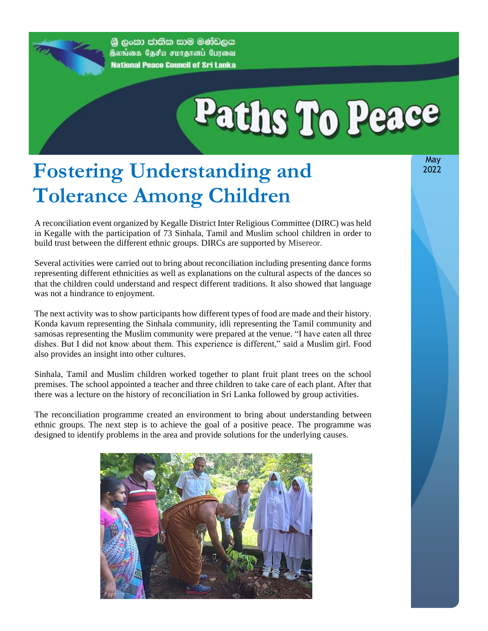ශුී ලංකා ජාතික සාම මණ්ඩලය திலங்கை தேசிய சமாதானப் பேரவை **National Peace Council of Sri Lanka** 

# Paths To Peace

### **Fostering Understanding and Tolerance Among Children**

A reconciliation event organized by Kegalle District Inter Religious Committee (DIRC) was held in Kegalle with the participation of 73 Sinhala, Tamil and Muslim school children in order to build trust between the different ethnic groups. DIRCs are supported by Misereor.

Several activities were carried out to bring about reconciliation including presenting dance forms representing different ethnicities as well as explanations on the cultural aspects of the dances so that the children could understand and respect different traditions. It also showed that language was not a hindrance to enjoyment.

The next activity was to show participants how different types of food are made and their history. Konda kavum representing the Sinhala community, idli representing the Tamil community and samosas representing the Muslim community were prepared at the venue. "I have eaten all three dishes. But I did not know about them. This experience is different," said a Muslim girl. Food also provides an insight into other cultures.

Sinhala, Tamil and Muslim children worked together to plant fruit plant trees on the school premises. The school appointed a teacher and three children to take care of each plant. After that there was a lecture on the history of reconciliation in Sri Lanka followed by group activities.

The reconciliation programme created an environment to bring about understanding between ethnic groups. The next step is to achieve the goal of a positive peace. The programme was designed to identify problems in the area and provide solutions for the underlying causes.



 May 2022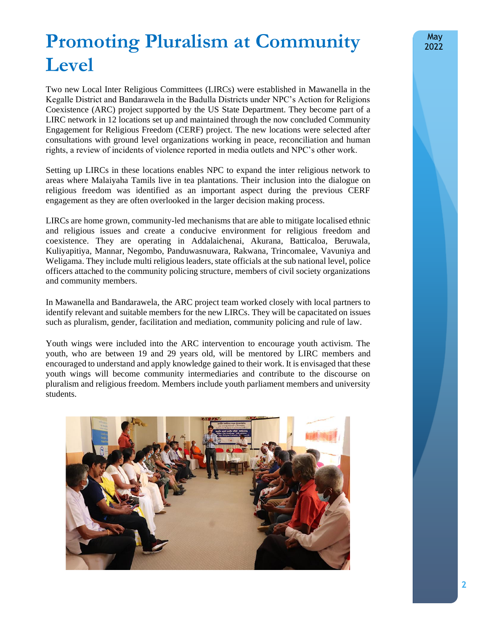## **Promoting Pluralism at Community Level**

Two new Local Inter Religious Committees (LIRCs) were established in Mawanella in the Kegalle District and Bandarawela in the Badulla Districts under NPC's Action for Religions Coexistence (ARC) project supported by the US State Department. They become part of a LIRC network in 12 locations set up and maintained through the now concluded Community Engagement for Religious Freedom (CERF) project. The new locations were selected after consultations with ground level organizations working in peace, reconciliation and human rights, a review of incidents of violence reported in media outlets and NPC's other work.

Setting up LIRCs in these locations enables NPC to expand the inter religious network to areas where Malaiyaha Tamils live in tea plantations. Their inclusion into the dialogue on religious freedom was identified as an important aspect during the previous CERF engagement as they are often overlooked in the larger decision making process.

LIRCs are home grown, community-led mechanisms that are able to mitigate localised ethnic and religious issues and create a conducive environment for religious freedom and coexistence. They are operating in Addalaichenai, Akurana, Batticaloa, Beruwala, Kuliyapitiya, Mannar, Negombo, Panduwasnuwara, Rakwana, Trincomalee, Vavuniya and Weligama. They include multi religious leaders, state officials at the sub national level, police officers attached to the community policing structure, members of civil society organizations and community members.

In Mawanella and Bandarawela, the ARC project team worked closely with local partners to identify relevant and suitable members for the new LIRCs. They will be capacitated on issues such as pluralism, gender, facilitation and mediation, community policing and rule of law.

Youth wings were included into the ARC intervention to encourage youth activism. The youth, who are between 19 and 29 years old, will be mentored by LIRC members and encouraged to understand and apply knowledge gained to their work. It is envisaged that these youth wings will become community intermediaries and contribute to the discourse on pluralism and religious freedom. Members include youth parliament members and university students.

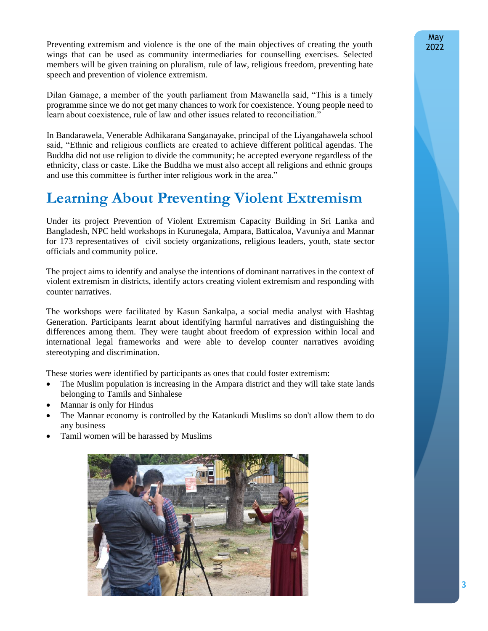Preventing extremism and violence is the one of the main objectives of creating the youth wings that can be used as community intermediaries for counselling exercises. Selected members will be given training on pluralism, rule of law, religious freedom, preventing hate speech and prevention of violence extremism.

Dilan Gamage, a member of the youth parliament from Mawanella said, "This is a timely programme since we do not get many chances to work for coexistence. Young people need to learn about coexistence, rule of law and other issues related to reconciliation."

In Bandarawela, Venerable Adhikarana Sanganayake, principal of the Liyangahawela school said, "Ethnic and religious conflicts are created to achieve different political agendas. The Buddha did not use religion to divide the community; he accepted everyone regardless of the ethnicity, class or caste. Like the Buddha we must also accept all religions and ethnic groups and use this committee is further inter religious work in the area."

#### **Learning About Preventing Violent Extremism**

Under its project Prevention of Violent Extremism Capacity Building in Sri Lanka and Bangladesh, NPC held workshops in Kurunegala, Ampara, Batticaloa, Vavuniya and Mannar for 173 representatives of civil society organizations, religious leaders, youth, state sector officials and community police.

The project aims to identify and analyse the intentions of dominant narratives in the context of violent extremism in districts, identify actors creating violent extremism and responding with counter narratives.

The workshops were facilitated by Kasun Sankalpa, a social media analyst with Hashtag Generation. Participants learnt about identifying harmful narratives and distinguishing the differences among them. They were taught about freedom of expression within local and international legal frameworks and were able to develop counter narratives avoiding stereotyping and discrimination.

These stories were identified by participants as ones that could foster extremism:

- The Muslim population is increasing in the Ampara district and they will take state lands belonging to Tamils and Sinhalese
- Mannar is only for Hindus
- The Mannar economy is controlled by the Katankudi Muslims so don't allow them to do any business
- Tamil women will be harassed by Muslims

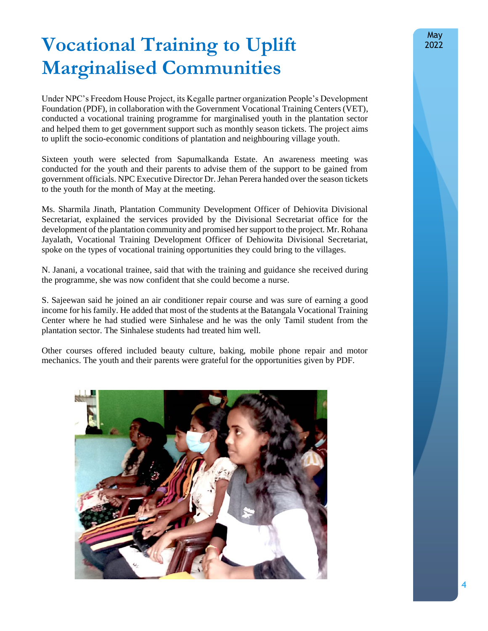# **Vocational Training to Uplift Marginalised Communities**

Under NPC's Freedom House Project, its Kegalle partner organization People's Development Foundation (PDF), in collaboration with the Government Vocational Training Centers (VET), conducted a vocational training programme for marginalised youth in the plantation sector and helped them to get government support such as monthly season tickets. The project aims to uplift the socio-economic conditions of plantation and neighbouring village youth.

Sixteen youth were selected from Sapumalkanda Estate. An awareness meeting was conducted for the youth and their parents to advise them of the support to be gained from government officials. NPC Executive Director Dr. Jehan Perera handed over the season tickets to the youth for the month of May at the meeting.

Ms. Sharmila Jinath, Plantation Community Development Officer of Dehiovita Divisional Secretariat, explained the services provided by the Divisional Secretariat office for the development of the plantation community and promised her support to the project. Mr. Rohana Jayalath, Vocational Training Development Officer of Dehiowita Divisional Secretariat, spoke on the types of vocational training opportunities they could bring to the villages.

N. Janani, a vocational trainee, said that with the training and guidance she received during the programme, she was now confident that she could become a nurse.

S. Sajeewan said he joined an air conditioner repair course and was sure of earning a good income for his family. He added that most of the students at the Batangala Vocational Training Center where he had studied were Sinhalese and he was the only Tamil student from the plantation sector. The Sinhalese students had treated him well.

Other courses offered included beauty culture, baking, mobile phone repair and motor mechanics. The youth and their parents were grateful for the opportunities given by PDF.

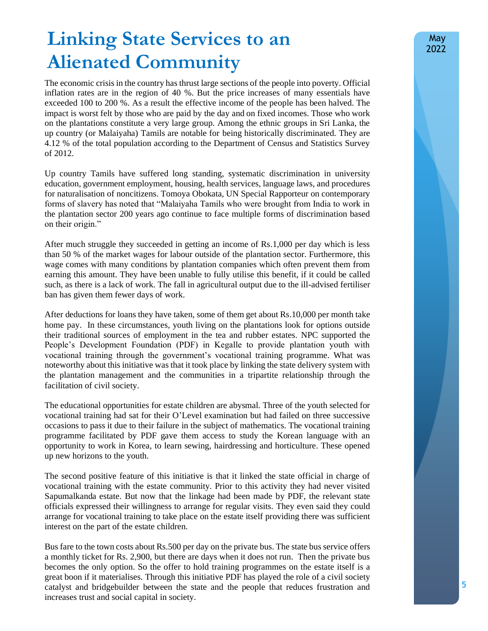## **Linking State Services to an Alienated Community**

The economic crisis in the country has thrust large sections of the people into poverty. Official inflation rates are in the region of 40 %. But the price increases of many essentials have exceeded 100 to 200 %. As a result the effective income of the people has been halved. The impact is worst felt by those who are paid by the day and on fixed incomes. Those who work on the plantations constitute a very large group. Among the ethnic groups in Sri Lanka, the up country (or Malaiyaha) Tamils are notable for being historically discriminated. They are 4.12 % of the total population according to the Department of Census and Statistics Survey of 2012.

Up country Tamils have suffered long standing, systematic discrimination in university education, government employment, housing, health services, language laws, and procedures for naturalisation of noncitizens. Tomoya Obokata, UN Special Rapporteur on contemporary forms of slavery has noted that "Malaiyaha Tamils who were brought from India to work in the plantation sector 200 years ago continue to face multiple forms of discrimination based on their origin."

After much struggle they succeeded in getting an income of Rs.1,000 per day which is less than 50 % of the market wages for labour outside of the plantation sector. Furthermore, this wage comes with many conditions by plantation companies which often prevent them from earning this amount. They have been unable to fully utilise this benefit, if it could be called such, as there is a lack of work. The fall in agricultural output due to the ill-advised fertiliser ban has given them fewer days of work.

After deductions for loans they have taken, some of them get about Rs.10,000 per month take home pay. In these circumstances, youth living on the plantations look for options outside their traditional sources of employment in the tea and rubber estates. NPC supported the People's Development Foundation (PDF) in Kegalle to provide plantation youth with vocational training through the government's vocational training programme. What was noteworthy about this initiative was that it took place by linking the state delivery system with the plantation management and the communities in a tripartite relationship through the facilitation of civil society.

The educational opportunities for estate children are abysmal. Three of the youth selected for vocational training had sat for their O'Level examination but had failed on three successive occasions to pass it due to their failure in the subject of mathematics. The vocational training programme facilitated by PDF gave them access to study the Korean language with an opportunity to work in Korea, to learn sewing, hairdressing and horticulture. These opened up new horizons to the youth.

The second positive feature of this initiative is that it linked the state official in charge of vocational training with the estate community. Prior to this activity they had never visited Sapumalkanda estate. But now that the linkage had been made by PDF, the relevant state officials expressed their willingness to arrange for regular visits. They even said they could arrange for vocational training to take place on the estate itself providing there was sufficient interest on the part of the estate children.

Bus fare to the town costs about Rs.500 per day on the private bus. The state bus service offers a monthly ticket for Rs. 2,900, but there are days when it does not run. Then the private bus becomes the only option. So the offer to hold training programmes on the estate itself is a great boon if it materialises. Through this initiative PDF has played the role of a civil society catalyst and bridgebuilder between the state and the people that reduces frustration and increases trust and social capital in society.

May 2022